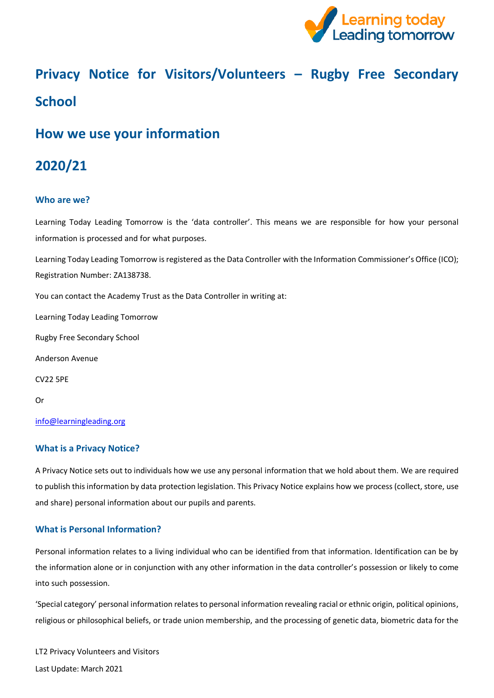

# **Privacy Notice for Visitors/Volunteers – Rugby Free Secondary School**

# **How we use your information**

# **2020/21**

# **Who are we?**

Learning Today Leading Tomorrow is the 'data controller'. This means we are responsible for how your personal information is processed and for what purposes.

Learning Today Leading Tomorrow is registered as the Data Controller with the Information Commissioner's Office (ICO); Registration Number: ZA138738.

You can contact the Academy Trust as the Data Controller in writing at:

Learning Today Leading Tomorrow

Rugby Free Secondary School

Anderson Avenue

CV22 5PE

Or

[info@learningleading.org](https://rfps-my.sharepoint.com/personal/georgina_langley_learningleading_org/Documents/GDPR/Privacy%20Notice/Parent-Carer%20Privacy%20Notices/info@learningleading.org)

#### **What is a Privacy Notice?**

A Privacy Notice sets out to individuals how we use any personal information that we hold about them. We are required to publish this information by data protection legislation. This Privacy Notice explains how we process (collect, store, use and share) personal information about our pupils and parents.

#### **What is Personal Information?**

Personal information relates to a living individual who can be identified from that information. Identification can be by the information alone or in conjunction with any other information in the data controller's possession or likely to come into such possession.

'Special category' personal information relates to personal information revealing racial or ethnic origin, political opinions, religious or philosophical beliefs, or trade union membership, and the processing of genetic data, biometric data for the

LT2 Privacy Volunteers and Visitors Last Update: March 2021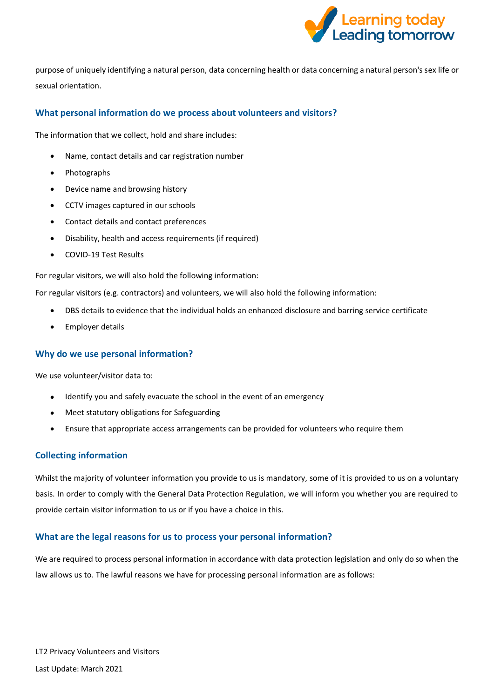

purpose of uniquely identifying a natural person, data concerning health or data concerning a natural person's sex life or sexual orientation.

# **What personal information do we process about volunteers and visitors?**

The information that we collect, hold and share includes:

- Name, contact details and car registration number
- Photographs
- Device name and browsing history
- CCTV images captured in our schools
- Contact details and contact preferences
- Disability, health and access requirements (if required)
- COVID-19 Test Results

For regular visitors, we will also hold the following information:

For regular visitors (e.g. contractors) and volunteers, we will also hold the following information:

- DBS details to evidence that the individual holds an enhanced disclosure and barring service certificate
- Employer details

#### **Why do we use personal information?**

We use volunteer/visitor data to:

- Identify you and safely evacuate the school in the event of an emergency
- Meet statutory obligations for Safeguarding
- Ensure that appropriate access arrangements can be provided for volunteers who require them

#### **Collecting information**

Whilst the majority of volunteer information you provide to us is mandatory, some of it is provided to us on a voluntary basis. In order to comply with the General Data Protection Regulation, we will inform you whether you are required to provide certain visitor information to us or if you have a choice in this.

#### **What are the legal reasons for us to process your personal information?**

We are required to process personal information in accordance with data protection legislation and only do so when the law allows us to. The lawful reasons we have for processing personal information are as follows: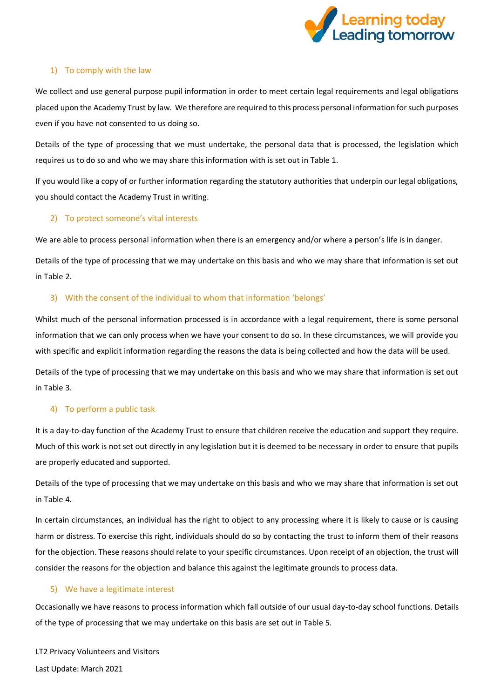

#### 1) To comply with the law

We collect and use general purpose pupil information in order to meet certain legal requirements and legal obligations placed upon the Academy Trust by law. We therefore are required to this process personal information for such purposes even if you have not consented to us doing so.

Details of the type of processing that we must undertake, the personal data that is processed, the legislation which requires us to do so and who we may share this information with is set out in Table 1.

If you would like a copy of or further information regarding the statutory authorities that underpin our legal obligations, you should contact the Academy Trust in writing.

# 2) To protect someone's vital interests

We are able to process personal information when there is an emergency and/or where a person's life is in danger.

Details of the type of processing that we may undertake on this basis and who we may share that information is set out in Table 2.

# 3) With the consent of the individual to whom that information 'belongs'

Whilst much of the personal information processed is in accordance with a legal requirement, there is some personal information that we can only process when we have your consent to do so. In these circumstances, we will provide you with specific and explicit information regarding the reasons the data is being collected and how the data will be used.

Details of the type of processing that we may undertake on this basis and who we may share that information is set out in Table 3.

#### 4) To perform a public task

It is a day-to-day function of the Academy Trust to ensure that children receive the education and support they require. Much of this work is not set out directly in any legislation but it is deemed to be necessary in order to ensure that pupils are properly educated and supported.

Details of the type of processing that we may undertake on this basis and who we may share that information is set out in Table 4.

In certain circumstances, an individual has the right to object to any processing where it is likely to cause or is causing harm or distress. To exercise this right, individuals should do so by contacting the trust to inform them of their reasons for the objection. These reasons should relate to your specific circumstances. Upon receipt of an objection, the trust will consider the reasons for the objection and balance this against the legitimate grounds to process data.

#### 5) We have a legitimate interest

Occasionally we have reasons to process information which fall outside of our usual day-to-day school functions. Details of the type of processing that we may undertake on this basis are set out in Table 5.

LT2 Privacy Volunteers and Visitors Last Update: March 2021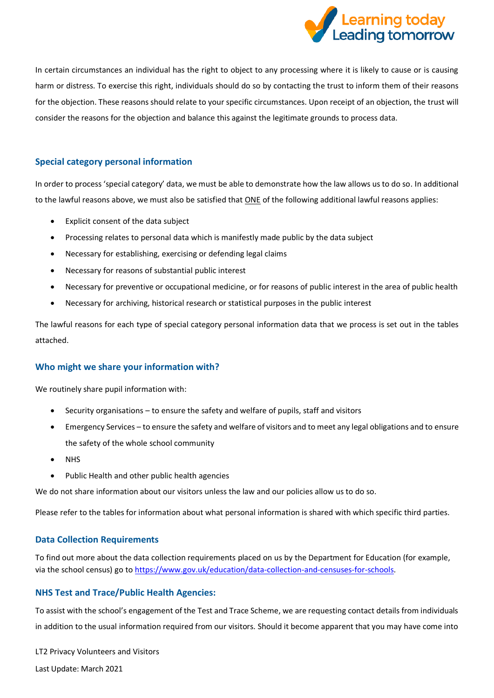

In certain circumstances an individual has the right to object to any processing where it is likely to cause or is causing harm or distress. To exercise this right, individuals should do so by contacting the trust to inform them of their reasons for the objection. These reasons should relate to your specific circumstances. Upon receipt of an objection, the trust will consider the reasons for the objection and balance this against the legitimate grounds to process data.

# **Special category personal information**

In order to process 'special category' data, we must be able to demonstrate how the law allows us to do so. In additional to the lawful reasons above, we must also be satisfied that ONE of the following additional lawful reasons applies:

- Explicit consent of the data subject
- Processing relates to personal data which is manifestly made public by the data subject
- Necessary for establishing, exercising or defending legal claims
- Necessary for reasons of substantial public interest
- Necessary for preventive or occupational medicine, or for reasons of public interest in the area of public health
- Necessary for archiving, historical research or statistical purposes in the public interest

The lawful reasons for each type of special category personal information data that we process is set out in the tables attached.

# **Who might we share your information with?**

We routinely share pupil information with:

- Security organisations to ensure the safety and welfare of pupils, staff and visitors
- Emergency Services to ensure the safety and welfare of visitors and to meet any legal obligations and to ensure the safety of the whole school community
- NHS
- Public Health and other public health agencies

We do not share information about our visitors unless the law and our policies allow us to do so.

Please refer to the tables for information about what personal information is shared with which specific third parties.

#### **Data Collection Requirements**

To find out more about the data collection requirements placed on us by the Department for Education (for example, via the school census) go t[o https://www.gov.uk/education/data-collection-and-censuses-for-schools.](https://www.gov.uk/education/data-collection-and-censuses-for-schools)

# **NHS Test and Trace/Public Health Agencies:**

To assist with the school's engagement of the Test and Trace Scheme, we are requesting contact details from individuals in addition to the usual information required from our visitors. Should it become apparent that you may have come into

LT2 Privacy Volunteers and Visitors

Last Update: March 2021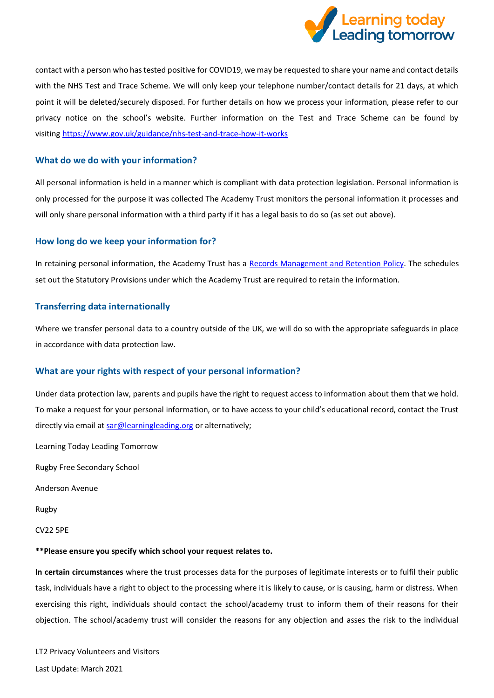

contact with a person who has tested positive for COVID19, we may be requested to share your name and contact details with the NHS Test and Trace Scheme. We will only keep your telephone number/contact details for 21 days, at which point it will be deleted/securely disposed. For further details on how we process your information, please refer to our privacy notice on the school's website. Further information on the Test and Trace Scheme can be found by visiting <https://www.gov.uk/guidance/nhs-test-and-trace-how-it-works>

# **What do we do with your information?**

All personal information is held in a manner which is compliant with data protection legislation. Personal information is only processed for the purpose it was collected The Academy Trust monitors the personal information it processes and will only share personal information with a third party if it has a legal basis to do so (as set out above).

#### **How long do we keep your information for?**

In retaining personal information, the Academy Trust has a [Records Management and Retention Policy.](https://www.the-trust-governor.co.uk/documents/202103240752500.210326%20LT2%20Records%20Management%20Policy.pdf) The schedules set out the Statutory Provisions under which the Academy Trust are required to retain the information.

# **Transferring data internationally**

Where we transfer personal data to a country outside of the UK, we will do so with the appropriate safeguards in place in accordance with data protection law.

#### **What are your rights with respect of your personal information?**

Under data protection law, parents and pupils have the right to request access to information about them that we hold. To make a request for your personal information, or to have access to your child's educational record, contact the Trust directly via email a[t sar@learningleading.org](mailto:sar@learningleading.org) or alternatively;

Learning Today Leading Tomorrow

Rugby Free Secondary School

Anderson Avenue

Rugby

CV22 5PE

#### **\*\*Please ensure you specify which school your request relates to.**

**In certain circumstances** where the trust processes data for the purposes of legitimate interests or to fulfil their public task, individuals have a right to object to the processing where it is likely to cause, or is causing, harm or distress. When exercising this right, individuals should contact the school/academy trust to inform them of their reasons for their objection. The school/academy trust will consider the reasons for any objection and asses the risk to the individual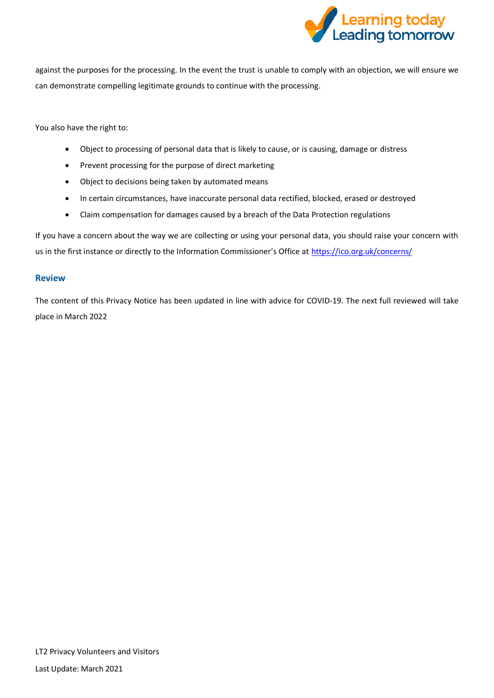

against the purposes for the processing. In the event the trust is unable to comply with an objection, we will ensure we can demonstrate compelling legitimate grounds to continue with the processing.

You also have the right to:

- Object to processing of personal data that is likely to cause, or is causing, damage or distress
- Prevent processing for the purpose of direct marketing
- Object to decisions being taken by automated means
- In certain circumstances, have inaccurate personal data rectified, blocked, erased or destroyed
- Claim compensation for damages caused by a breach of the Data Protection regulations

If you have a concern about the way we are collecting or using your personal data, you should raise your concern with us in the first instance or directly to the Information Commissioner's Office at <https://ico.org.uk/concerns/>

#### **Review**

The content of this Privacy Notice has been updated in line with advice for COVID-19. The next full reviewed will take place in March 2022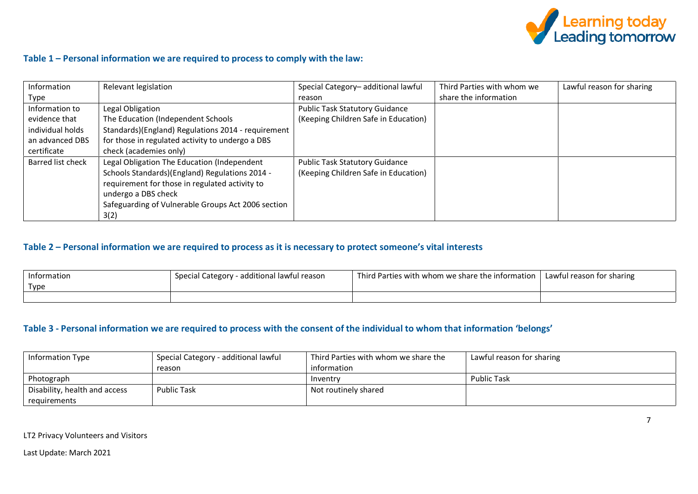

# **Table 1 – Personal information we are required to process to comply with the law:**

| Information       | Relevant legislation                               | Special Category-additional lawful    | Third Parties with whom we | Lawful reason for sharing |
|-------------------|----------------------------------------------------|---------------------------------------|----------------------------|---------------------------|
| Type              |                                                    | reason                                | share the information      |                           |
| Information to    | Legal Obligation                                   | <b>Public Task Statutory Guidance</b> |                            |                           |
| evidence that     | The Education (Independent Schools                 | (Keeping Children Safe in Education)  |                            |                           |
| individual holds  | Standards)(England) Regulations 2014 - requirement |                                       |                            |                           |
| an advanced DBS   | for those in regulated activity to undergo a DBS   |                                       |                            |                           |
| certificate       | check (academies only)                             |                                       |                            |                           |
| Barred list check | Legal Obligation The Education (Independent        | <b>Public Task Statutory Guidance</b> |                            |                           |
|                   | Schools Standards)(England) Regulations 2014 -     | (Keeping Children Safe in Education)  |                            |                           |
|                   | requirement for those in regulated activity to     |                                       |                            |                           |
|                   | undergo a DBS check                                |                                       |                            |                           |
|                   | Safeguarding of Vulnerable Groups Act 2006 section |                                       |                            |                           |
|                   | 3(2)                                               |                                       |                            |                           |

# **Table 2 – Personal information we are required to process as it is necessary to protect someone's vital interests**

| Information | - additional lawful reason<br>Special Category | Third Parties with whom we share the information | Lawful reason for sharing |
|-------------|------------------------------------------------|--------------------------------------------------|---------------------------|
| Type        |                                                |                                                  |                           |
|             |                                                |                                                  |                           |

# **Table 3 - Personal information we are required to process with the consent of the individual to whom that information 'belongs'**

| <b>Information Type</b>       | <sup>1</sup> Special Category - additional lawful | Third Parties with whom we share the | Lawful reason for sharing |
|-------------------------------|---------------------------------------------------|--------------------------------------|---------------------------|
|                               | reason                                            | information                          |                           |
| Photograph                    |                                                   | Inventry                             | <b>Public Task</b>        |
| Disability, health and access | <b>Public Task</b>                                | Not routinely shared                 |                           |
| requirements                  |                                                   |                                      |                           |

LT2 Privacy Volunteers and Visitors

Last Update: March 2021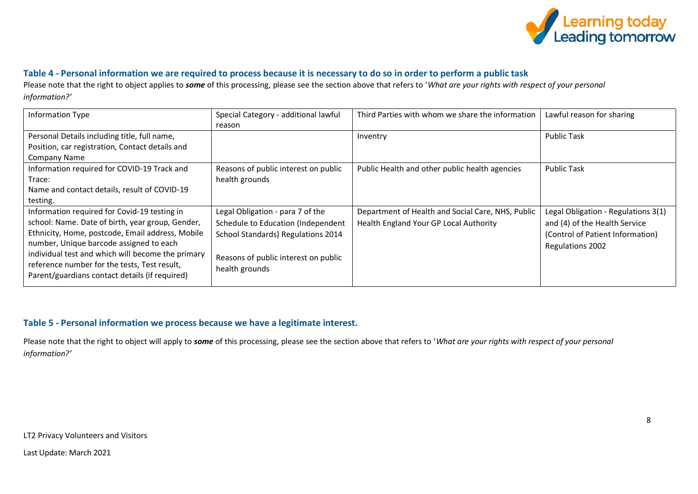

# **Table 4 - Personal information we are required to process because it is necessary to do so in order to perform a public task**

Please note that the right to object applies to *some* of this processing, please see the section above that refers to '*What are your rights with respect of your personal information?'* 

| Special Category - additional lawful | Third Parties with whom we share the information       | Lawful reason for sharing           |
|--------------------------------------|--------------------------------------------------------|-------------------------------------|
| reason                               |                                                        |                                     |
|                                      | Inventry                                               | <b>Public Task</b>                  |
|                                      |                                                        |                                     |
|                                      |                                                        |                                     |
| Reasons of public interest on public | Public Health and other public health agencies         | <b>Public Task</b>                  |
| health grounds                       |                                                        |                                     |
|                                      |                                                        |                                     |
|                                      |                                                        |                                     |
| Legal Obligation - para 7 of the     | Department of Health and Social Care, NHS, Public      | Legal Obligation - Regulations 3(1) |
| Schedule to Education (Independent   | Health England Your GP Local Authority                 | and (4) of the Health Service       |
| School Standards) Regulations 2014   |                                                        | (Control of Patient Information)    |
|                                      |                                                        | Regulations 2002                    |
|                                      |                                                        |                                     |
|                                      |                                                        |                                     |
|                                      |                                                        |                                     |
|                                      | Reasons of public interest on public<br>health grounds |                                     |

# **Table 5 - Personal information we process because we have a legitimate interest.**

Please note that the right to object will apply to *some* of this processing, please see the section above that refers to '*What are your rights with respect of your personal information?'*